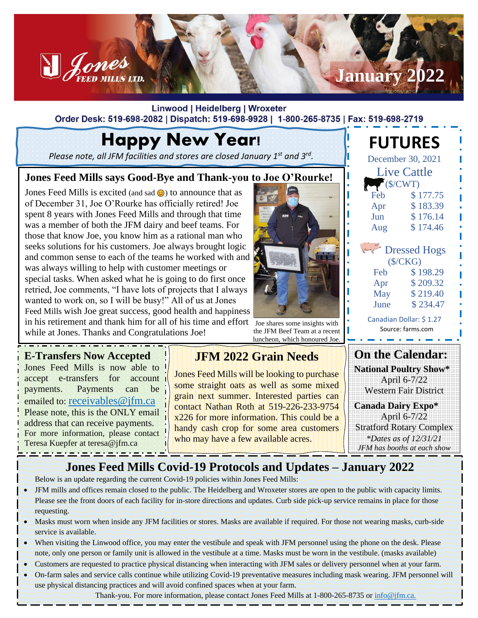

Linwood | Heidelberg | Wroxeter Order Desk: 519-698-2082 | Dispatch: 519-698-9928 | 1-800-265-8735 | Fax: 519-698-2719

# Happy New Year!

*Please note, all JFM facilities and stores are closed January 1st and 3rd .*

#### **Jones Feed Mills says Good-Bye and Thank-you to Joe O'Rourke!**

Jones Feed Mills is excited (and sad  $\odot$ ) to announce that as of December 31, Joe O'Rourke has officially retired! Joe spent 8 years with Jones Feed Mills and through that time was a member of both the JFM dairy and beef teams. For those that know Joe, you know him as a rational man who seeks solutions for his customers. Joe always brought logic and common sense to each of the teams he worked with and was always willing to help with customer meetings or special tasks. When asked what he is going to do first once retried, Joe comments, "I have lots of projects that I always wanted to work on, so I will be busy!" All of us at Jones Feed Mills wish Joe great success, good health and happiness in his retirement and thank him for all of his time and effort  $\overline{J_{\text{oe shares some insights with}}}$ while at Jones. Thanks and Congratulations Joe!

the JFM Beef Team at a recent luncheon, which honoured Joe.

 Source: farms.com **Contract Contract Contract On the Calendar: National Poultry Show\*** April 6-7/22 Western Fair District

> **Canada Dairy Expo\*** April 6-7/22 Stratford Rotary Complex *\*Dates as of 12/31/21 JFM has booths at each show*

**FUTURES**

December 30, 2021 Live Cattle  $\sqrt{\text{S/CWT}}$ Feb  $$177.75$ Apr \$183.39 Jun \$ 176.14 Aug \$ 174.46

 Dressed Hogs (\$/CKG) Feb  $$198.29$ Apr \$209.32 May \$ 219.40 June \$ 234.47 Canadian Dollar: \$ 1.27

#### **E-Transfers Now Accepted**

Jones Feed Mills is now able to accept e-transfers for account payments. Payments can be emailed to: [receivables@jfm.ca](mailto:receivables@jfm.ca) Please note, this is the ONLY email address that can receive payments. For more information, please contact Teresa Kuepfer at teresa@jfm.ca

<u> 1965 - Jan Barbara, margaretan</u>

### **JFM 2022 Grain Needs**

Jones Feed Mills will be looking to purchase some straight oats as well as some mixed grain next summer. Interested parties can contact Nathan Roth at 519-226-233-9754 x226 for more information. This could be a handy cash crop for some area customers who may have a few available acres.

### **Jones Feed Mills Covid-19 Protocols and Updates – January 2022**

Below is an update regarding the current Covid-19 policies within Jones Feed Mills:

- JFM mills and offices remain closed to the public. The Heidelberg and Wroxeter stores are open to the public with capacity limits. Please see the front doors of each facility for in-store directions and updates. Curb side pick-up service remains in place for those requesting.
- Masks must worn when inside any JFM facilities or stores. Masks are available if required. For those not wearing masks, curb-side service is available.
- When visiting the Linwood office, you may enter the vestibule and speak with JFM personnel using the phone on the desk. Please note, only one person or family unit is allowed in the vestibule at a time. Masks must be worn in the vestibule. (masks available)
- Customers are requested to practice physical distancing when interacting with JFM sales or delivery personnel when at your farm.
- On-farm sales and service calls continue while utilizing Covid-19 preventative measures including mask wearing. JFM personnel will use physical distancing practices and will avoid confined spaces when at your farm.

Thank-you. For more information, please contact Jones Feed Mills at 1-800-265-8735 or [info@jfm.ca.](mailto:info@jfm.ca)